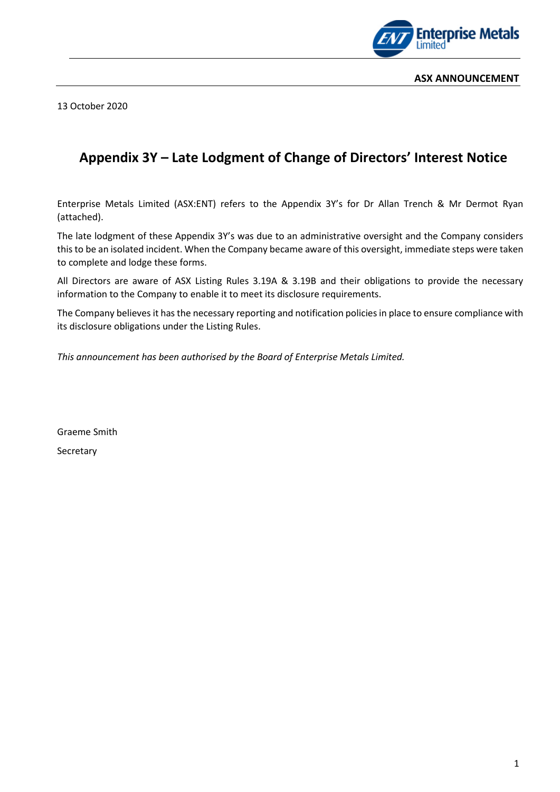

13 October 2020

## **Appendix 3Y – Late Lodgment of Change of Directors' Interest Notice**

Enterprise Metals Limited (ASX:ENT) refers to the Appendix 3Y's for Dr Allan Trench & Mr Dermot Ryan (attached).

The late lodgment of these Appendix 3Y's was due to an administrative oversight and the Company considers this to be an isolated incident. When the Company became aware of this oversight, immediate steps were taken to complete and lodge these forms.

All Directors are aware of ASX Listing Rules 3.19A & 3.19B and their obligations to provide the necessary information to the Company to enable it to meet its disclosure requirements.

The Company believes it has the necessary reporting and notification policies in place to ensure compliance with its disclosure obligations under the Listing Rules.

*This announcement has been authorised by the Board of Enterprise Metals Limited.*

Graeme Smith **Secretary**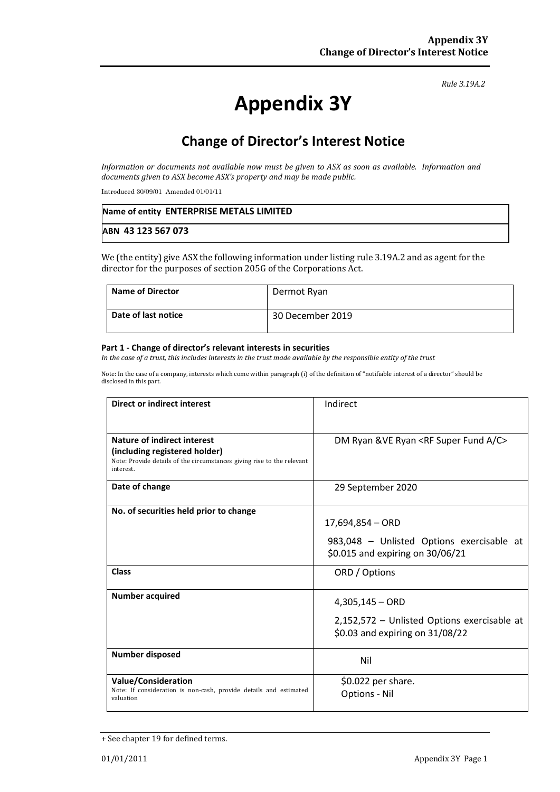#### *Rule 3.19A.2*

# **Appendix 3Y**

# **Change of Director's Interest Notice**

*Information or documents not available now must be given to ASX as soon as available. Information and documents given to ASX become ASX's property and may be made public.*

Introduced 30/09/01 Amended 01/01/11

| Name of entity ENTERPRISE METALS LIMITED |  |
|------------------------------------------|--|
| ABN 43 123 567 073                       |  |

We (the entity) give ASX the following information under listing rule 3.19A.2 and as agent for the director for the purposes of section 205G of the Corporations Act.

| <b>Name of Director</b> | Dermot Ryan      |
|-------------------------|------------------|
| Date of last notice     | 30 December 2019 |

#### **Part 1 - Change of director's relevant interests in securities**

*In the case of a trust, this includes interests in the trust made available by the responsible entity of the trust*

Note: In the case of a company, interests which come within paragraph (i) of the definition of "notifiable interest of a director" should be disclosed in this part.

| <b>Direct or indirect interest</b>                                                  | Indirect                                               |
|-------------------------------------------------------------------------------------|--------------------------------------------------------|
|                                                                                     |                                                        |
| Nature of indirect interest                                                         | DM Ryan & VE Ryan <rf a="" c="" fund="" super=""></rf> |
| (including registered holder)                                                       |                                                        |
| Note: Provide details of the circumstances giving rise to the relevant<br>interest. |                                                        |
| Date of change                                                                      | 29 September 2020                                      |
|                                                                                     |                                                        |
| No. of securities held prior to change                                              |                                                        |
|                                                                                     | $17,694,854 - ORD$                                     |
|                                                                                     | 983,048 - Unlisted Options exercisable at              |
|                                                                                     | \$0.015 and expiring on 30/06/21                       |
| <b>Class</b>                                                                        | ORD / Options                                          |
|                                                                                     |                                                        |
| <b>Number acquired</b>                                                              | $4,305,145 - ORD$                                      |
|                                                                                     | 2,152,572 - Unlisted Options exercisable at            |
|                                                                                     | \$0.03 and expiring on 31/08/22                        |
| <b>Number disposed</b>                                                              |                                                        |
|                                                                                     | Nil                                                    |
| <b>Value/Consideration</b>                                                          | \$0.022 per share.                                     |
| Note: If consideration is non-cash, provide details and estimated<br>valuation      | <b>Options - Nil</b>                                   |
|                                                                                     |                                                        |

<sup>+</sup> See chapter 19 for defined terms.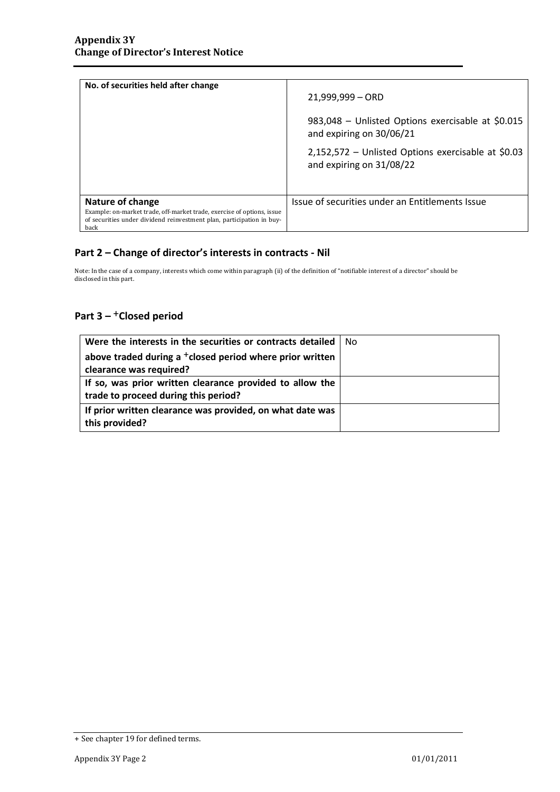| No. of securities held after change                                                                                                                     | $21,999,999 - ORD$                                                             |
|---------------------------------------------------------------------------------------------------------------------------------------------------------|--------------------------------------------------------------------------------|
|                                                                                                                                                         | 983,048 - Unlisted Options exercisable at \$0.015<br>and expiring on 30/06/21  |
|                                                                                                                                                         | 2,152,572 - Unlisted Options exercisable at \$0.03<br>and expiring on 31/08/22 |
|                                                                                                                                                         |                                                                                |
| Nature of change                                                                                                                                        | Issue of securities under an Entitlements Issue                                |
| Example: on-market trade, off-market trade, exercise of options, issue<br>of securities under dividend reinvestment plan, participation in buy-<br>back |                                                                                |

### **Part 2 – Change of director's interests in contracts - Nil**

Note: In the case of a company, interests which come within paragraph (ii) of the definition of "notifiable interest of a director" should be disclosed in this part.

### **Part 3 –** +**Closed period**

| Were the interests in the securities or contracts detailed           | No |
|----------------------------------------------------------------------|----|
| above traded during a <sup>+</sup> closed period where prior written |    |
| clearance was required?                                              |    |
| If so, was prior written clearance provided to allow the             |    |
| trade to proceed during this period?                                 |    |
| If prior written clearance was provided, on what date was            |    |
| this provided?                                                       |    |

<sup>+</sup> See chapter 19 for defined terms.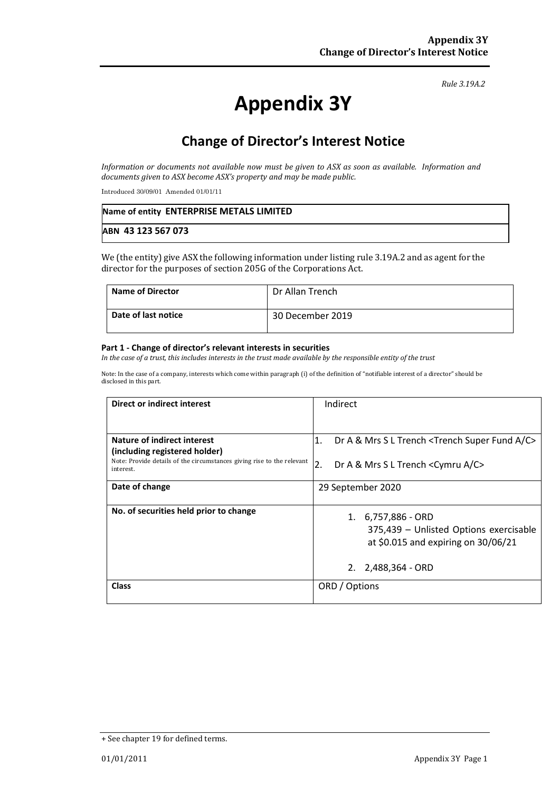#### *Rule 3.19A.2*

# **Appendix 3Y**

## **Change of Director's Interest Notice**

*Information or documents not available now must be given to ASX as soon as available. Information and documents given to ASX become ASX's property and may be made public.*

Introduced 30/09/01 Amended 01/01/11

| Name of entity ENTERPRISE METALS LIMITED |  |
|------------------------------------------|--|
| ABN 43 123 567 073                       |  |

We (the entity) give ASX the following information under listing rule 3.19A.2 and as agent for the director for the purposes of section 205G of the Corporations Act.

| <b>Name of Director</b> | Dr Allan Trench  |
|-------------------------|------------------|
| Date of last notice     | 30 December 2019 |

#### **Part 1 - Change of director's relevant interests in securities**

*In the case of a trust, this includes interests in the trust made available by the responsible entity of the trust*

Note: In the case of a company, interests which come within paragraph (i) of the definition of "notifiable interest of a director" should be disclosed in this part.

| Direct or indirect interest                                                                                          | Indirect                                                                                                                  |
|----------------------------------------------------------------------------------------------------------------------|---------------------------------------------------------------------------------------------------------------------------|
|                                                                                                                      |                                                                                                                           |
| Nature of indirect interest                                                                                          | Dr A & Mrs S L Trench <trench a="" c="" fund="" super=""><br/>1.</trench>                                                 |
| (including registered holder)<br>Note: Provide details of the circumstances giving rise to the relevant<br>interest. | 2.<br>Dr A & Mrs S L Trench < Cymru A/C>                                                                                  |
| Date of change                                                                                                       | 29 September 2020                                                                                                         |
| No. of securities held prior to change                                                                               | 1. 6,757,886 - ORD<br>375,439 - Unlisted Options exercisable<br>at \$0.015 and expiring on 30/06/21<br>2. 2,488,364 - ORD |
| <b>Class</b>                                                                                                         | ORD / Options                                                                                                             |

<sup>+</sup> See chapter 19 for defined terms.